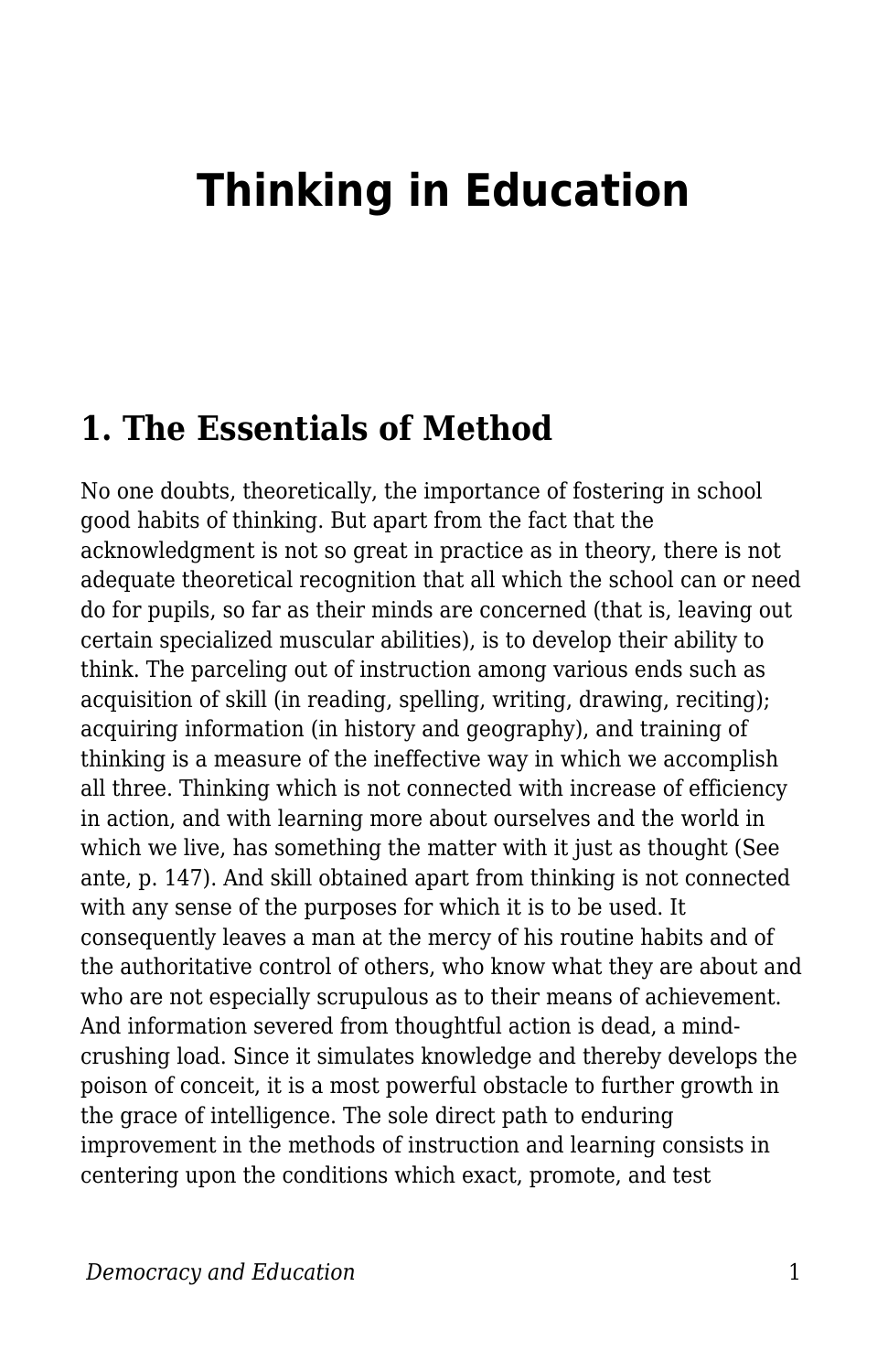## **Thinking in Education**

## **1. The Essentials of Method**

No one doubts, theoretically, the importance of fostering in school good habits of thinking. But apart from the fact that the acknowledgment is not so great in practice as in theory, there is not adequate theoretical recognition that all which the school can or need do for pupils, so far as their minds are concerned (that is, leaving out certain specialized muscular abilities), is to develop their ability to think. The parceling out of instruction among various ends such as acquisition of skill (in reading, spelling, writing, drawing, reciting); acquiring information (in history and geography), and training of thinking is a measure of the ineffective way in which we accomplish all three. Thinking which is not connected with increase of efficiency in action, and with learning more about ourselves and the world in which we live, has something the matter with it just as thought (See ante, p. 147). And skill obtained apart from thinking is not connected with any sense of the purposes for which it is to be used. It consequently leaves a man at the mercy of his routine habits and of the authoritative control of others, who know what they are about and who are not especially scrupulous as to their means of achievement. And information severed from thoughtful action is dead, a mindcrushing load. Since it simulates knowledge and thereby develops the poison of conceit, it is a most powerful obstacle to further growth in the grace of intelligence. The sole direct path to enduring improvement in the methods of instruction and learning consists in centering upon the conditions which exact, promote, and test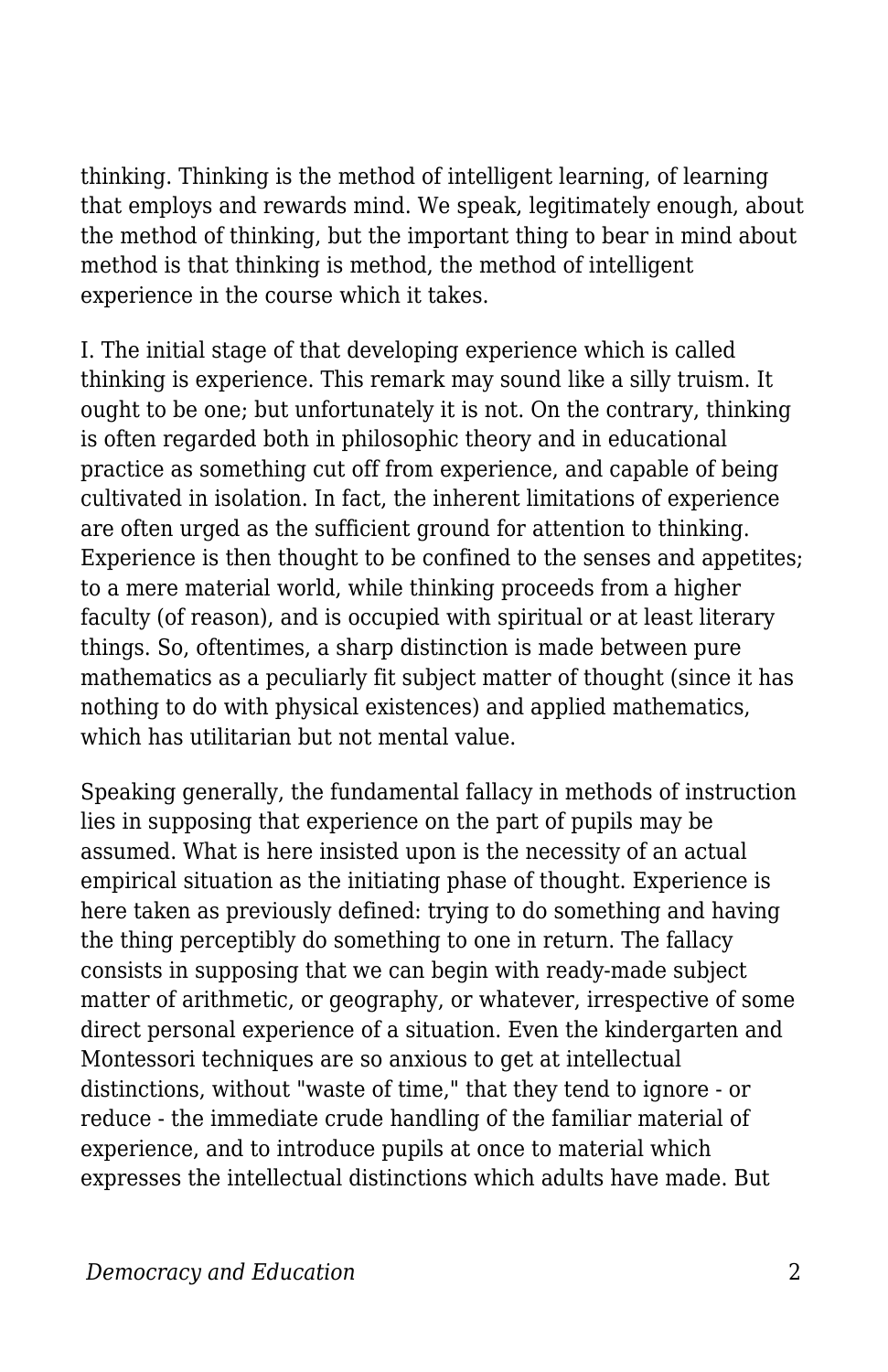thinking. Thinking is the method of intelligent learning, of learning that employs and rewards mind. We speak, legitimately enough, about the method of thinking, but the important thing to bear in mind about method is that thinking is method, the method of intelligent experience in the course which it takes.

I. The initial stage of that developing experience which is called thinking is experience. This remark may sound like a silly truism. It ought to be one; but unfortunately it is not. On the contrary, thinking is often regarded both in philosophic theory and in educational practice as something cut off from experience, and capable of being cultivated in isolation. In fact, the inherent limitations of experience are often urged as the sufficient ground for attention to thinking. Experience is then thought to be confined to the senses and appetites; to a mere material world, while thinking proceeds from a higher faculty (of reason), and is occupied with spiritual or at least literary things. So, oftentimes, a sharp distinction is made between pure mathematics as a peculiarly fit subject matter of thought (since it has nothing to do with physical existences) and applied mathematics, which has utilitarian but not mental value.

Speaking generally, the fundamental fallacy in methods of instruction lies in supposing that experience on the part of pupils may be assumed. What is here insisted upon is the necessity of an actual empirical situation as the initiating phase of thought. Experience is here taken as previously defined: trying to do something and having the thing perceptibly do something to one in return. The fallacy consists in supposing that we can begin with ready-made subject matter of arithmetic, or geography, or whatever, irrespective of some direct personal experience of a situation. Even the kindergarten and Montessori techniques are so anxious to get at intellectual distinctions, without "waste of time," that they tend to ignore - or reduce - the immediate crude handling of the familiar material of experience, and to introduce pupils at once to material which expresses the intellectual distinctions which adults have made. But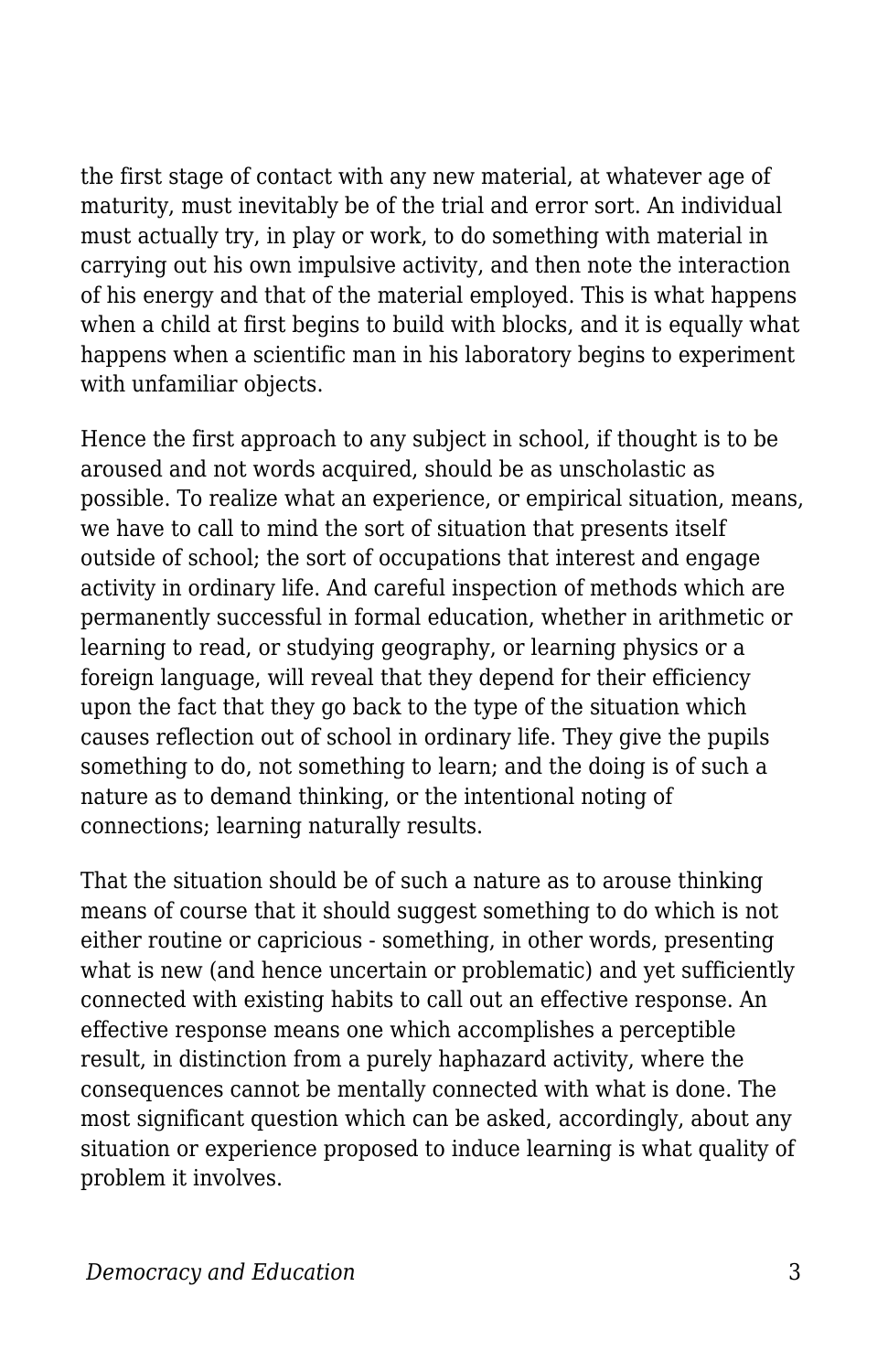the first stage of contact with any new material, at whatever age of maturity, must inevitably be of the trial and error sort. An individual must actually try, in play or work, to do something with material in carrying out his own impulsive activity, and then note the interaction of his energy and that of the material employed. This is what happens when a child at first begins to build with blocks, and it is equally what happens when a scientific man in his laboratory begins to experiment with unfamiliar objects.

Hence the first approach to any subject in school, if thought is to be aroused and not words acquired, should be as unscholastic as possible. To realize what an experience, or empirical situation, means, we have to call to mind the sort of situation that presents itself outside of school; the sort of occupations that interest and engage activity in ordinary life. And careful inspection of methods which are permanently successful in formal education, whether in arithmetic or learning to read, or studying geography, or learning physics or a foreign language, will reveal that they depend for their efficiency upon the fact that they go back to the type of the situation which causes reflection out of school in ordinary life. They give the pupils something to do, not something to learn; and the doing is of such a nature as to demand thinking, or the intentional noting of connections; learning naturally results.

That the situation should be of such a nature as to arouse thinking means of course that it should suggest something to do which is not either routine or capricious - something, in other words, presenting what is new (and hence uncertain or problematic) and yet sufficiently connected with existing habits to call out an effective response. An effective response means one which accomplishes a perceptible result, in distinction from a purely haphazard activity, where the consequences cannot be mentally connected with what is done. The most significant question which can be asked, accordingly, about any situation or experience proposed to induce learning is what quality of problem it involves.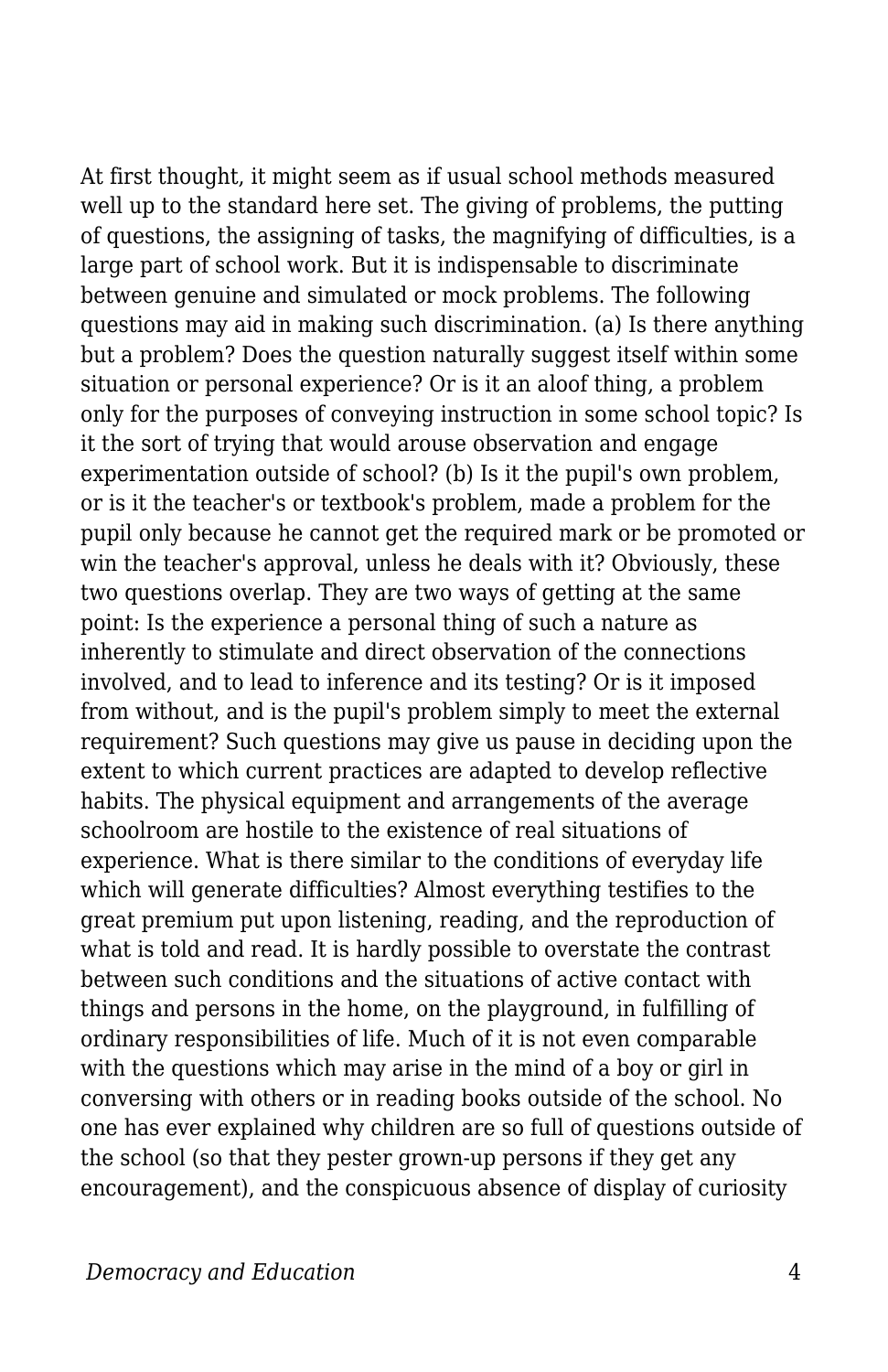At first thought, it might seem as if usual school methods measured well up to the standard here set. The giving of problems, the putting of questions, the assigning of tasks, the magnifying of difficulties, is a large part of school work. But it is indispensable to discriminate between genuine and simulated or mock problems. The following questions may aid in making such discrimination. (a) Is there anything but a problem? Does the question naturally suggest itself within some situation or personal experience? Or is it an aloof thing, a problem only for the purposes of conveying instruction in some school topic? Is it the sort of trying that would arouse observation and engage experimentation outside of school? (b) Is it the pupil's own problem, or is it the teacher's or textbook's problem, made a problem for the pupil only because he cannot get the required mark or be promoted or win the teacher's approval, unless he deals with it? Obviously, these two questions overlap. They are two ways of getting at the same point: Is the experience a personal thing of such a nature as inherently to stimulate and direct observation of the connections involved, and to lead to inference and its testing? Or is it imposed from without, and is the pupil's problem simply to meet the external requirement? Such questions may give us pause in deciding upon the extent to which current practices are adapted to develop reflective habits. The physical equipment and arrangements of the average schoolroom are hostile to the existence of real situations of experience. What is there similar to the conditions of everyday life which will generate difficulties? Almost everything testifies to the great premium put upon listening, reading, and the reproduction of what is told and read. It is hardly possible to overstate the contrast between such conditions and the situations of active contact with things and persons in the home, on the playground, in fulfilling of ordinary responsibilities of life. Much of it is not even comparable with the questions which may arise in the mind of a boy or girl in conversing with others or in reading books outside of the school. No one has ever explained why children are so full of questions outside of the school (so that they pester grown-up persons if they get any encouragement), and the conspicuous absence of display of curiosity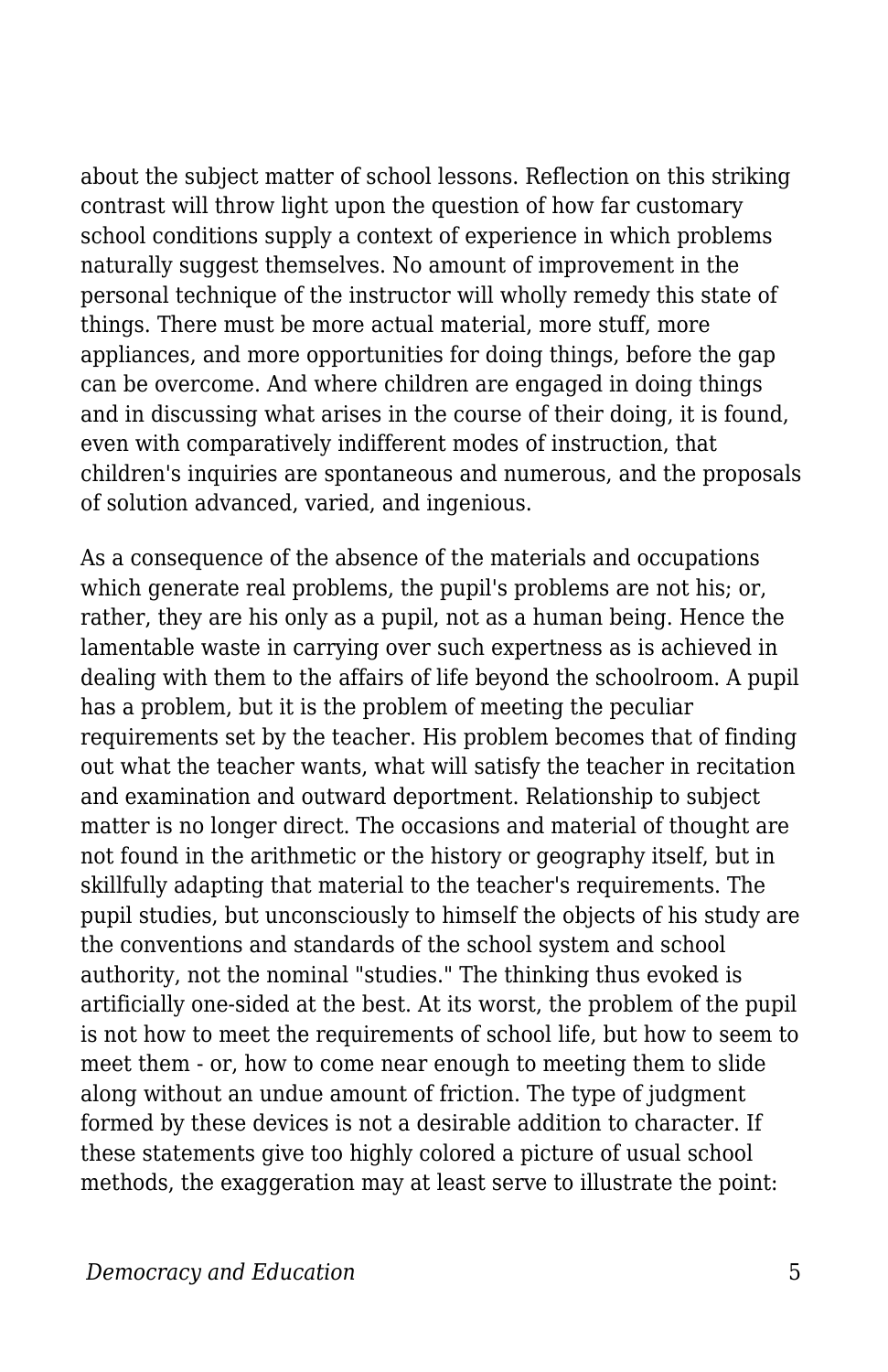about the subject matter of school lessons. Reflection on this striking contrast will throw light upon the question of how far customary school conditions supply a context of experience in which problems naturally suggest themselves. No amount of improvement in the personal technique of the instructor will wholly remedy this state of things. There must be more actual material, more stuff, more appliances, and more opportunities for doing things, before the gap can be overcome. And where children are engaged in doing things and in discussing what arises in the course of their doing, it is found, even with comparatively indifferent modes of instruction, that children's inquiries are spontaneous and numerous, and the proposals of solution advanced, varied, and ingenious.

As a consequence of the absence of the materials and occupations which generate real problems, the pupil's problems are not his; or, rather, they are his only as a pupil, not as a human being. Hence the lamentable waste in carrying over such expertness as is achieved in dealing with them to the affairs of life beyond the schoolroom. A pupil has a problem, but it is the problem of meeting the peculiar requirements set by the teacher. His problem becomes that of finding out what the teacher wants, what will satisfy the teacher in recitation and examination and outward deportment. Relationship to subject matter is no longer direct. The occasions and material of thought are not found in the arithmetic or the history or geography itself, but in skillfully adapting that material to the teacher's requirements. The pupil studies, but unconsciously to himself the objects of his study are the conventions and standards of the school system and school authority, not the nominal "studies." The thinking thus evoked is artificially one-sided at the best. At its worst, the problem of the pupil is not how to meet the requirements of school life, but how to seem to meet them - or, how to come near enough to meeting them to slide along without an undue amount of friction. The type of judgment formed by these devices is not a desirable addition to character. If these statements give too highly colored a picture of usual school methods, the exaggeration may at least serve to illustrate the point: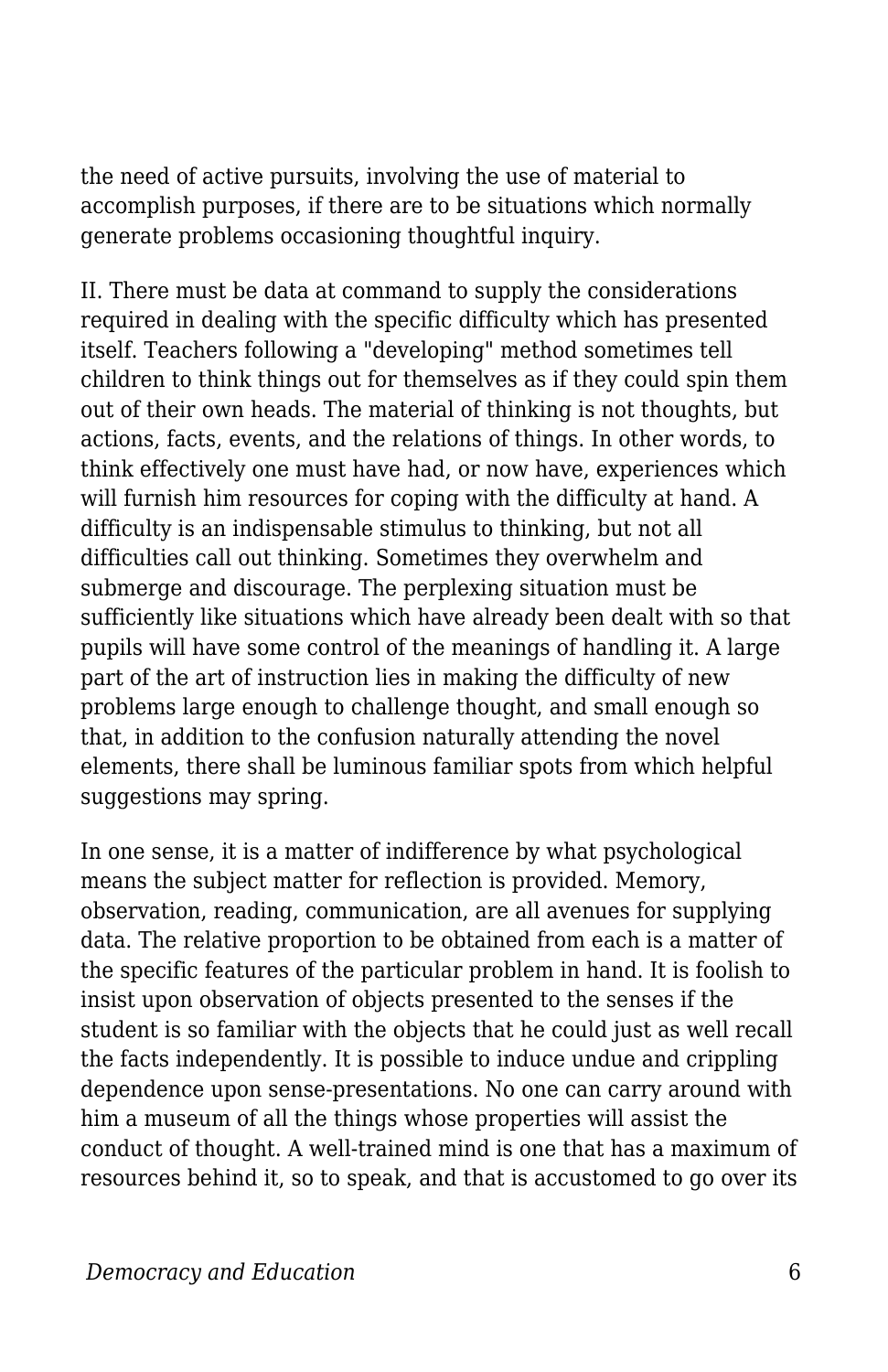the need of active pursuits, involving the use of material to accomplish purposes, if there are to be situations which normally generate problems occasioning thoughtful inquiry.

II. There must be data at command to supply the considerations required in dealing with the specific difficulty which has presented itself. Teachers following a "developing" method sometimes tell children to think things out for themselves as if they could spin them out of their own heads. The material of thinking is not thoughts, but actions, facts, events, and the relations of things. In other words, to think effectively one must have had, or now have, experiences which will furnish him resources for coping with the difficulty at hand. A difficulty is an indispensable stimulus to thinking, but not all difficulties call out thinking. Sometimes they overwhelm and submerge and discourage. The perplexing situation must be sufficiently like situations which have already been dealt with so that pupils will have some control of the meanings of handling it. A large part of the art of instruction lies in making the difficulty of new problems large enough to challenge thought, and small enough so that, in addition to the confusion naturally attending the novel elements, there shall be luminous familiar spots from which helpful suggestions may spring.

In one sense, it is a matter of indifference by what psychological means the subject matter for reflection is provided. Memory, observation, reading, communication, are all avenues for supplying data. The relative proportion to be obtained from each is a matter of the specific features of the particular problem in hand. It is foolish to insist upon observation of objects presented to the senses if the student is so familiar with the objects that he could just as well recall the facts independently. It is possible to induce undue and crippling dependence upon sense-presentations. No one can carry around with him a museum of all the things whose properties will assist the conduct of thought. A well-trained mind is one that has a maximum of resources behind it, so to speak, and that is accustomed to go over its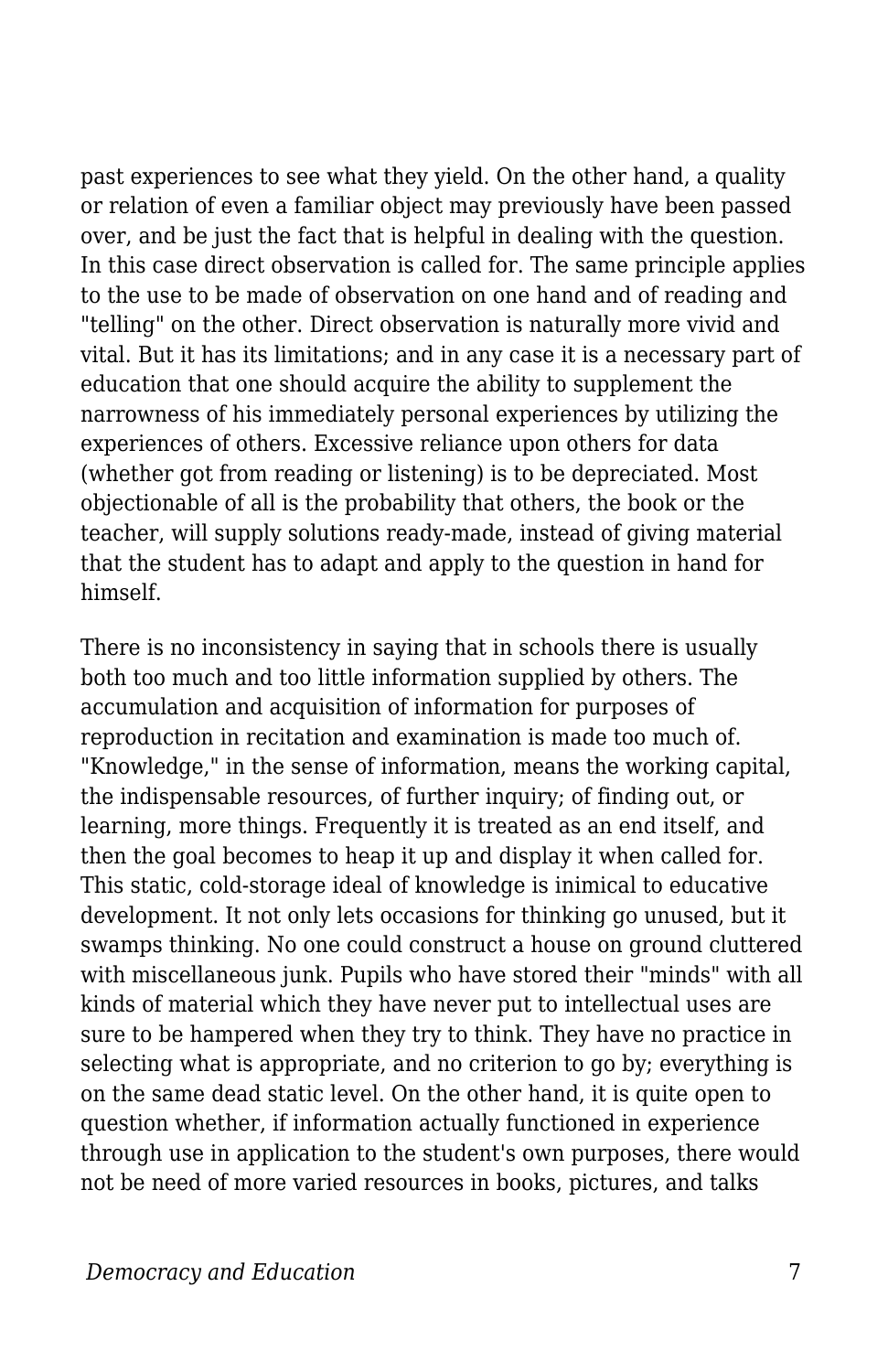past experiences to see what they yield. On the other hand, a quality or relation of even a familiar object may previously have been passed over, and be just the fact that is helpful in dealing with the question. In this case direct observation is called for. The same principle applies to the use to be made of observation on one hand and of reading and "telling" on the other. Direct observation is naturally more vivid and vital. But it has its limitations; and in any case it is a necessary part of education that one should acquire the ability to supplement the narrowness of his immediately personal experiences by utilizing the experiences of others. Excessive reliance upon others for data (whether got from reading or listening) is to be depreciated. Most objectionable of all is the probability that others, the book or the teacher, will supply solutions ready-made, instead of giving material that the student has to adapt and apply to the question in hand for himself.

There is no inconsistency in saying that in schools there is usually both too much and too little information supplied by others. The accumulation and acquisition of information for purposes of reproduction in recitation and examination is made too much of. "Knowledge," in the sense of information, means the working capital, the indispensable resources, of further inquiry; of finding out, or learning, more things. Frequently it is treated as an end itself, and then the goal becomes to heap it up and display it when called for. This static, cold-storage ideal of knowledge is inimical to educative development. It not only lets occasions for thinking go unused, but it swamps thinking. No one could construct a house on ground cluttered with miscellaneous junk. Pupils who have stored their "minds" with all kinds of material which they have never put to intellectual uses are sure to be hampered when they try to think. They have no practice in selecting what is appropriate, and no criterion to go by; everything is on the same dead static level. On the other hand, it is quite open to question whether, if information actually functioned in experience through use in application to the student's own purposes, there would not be need of more varied resources in books, pictures, and talks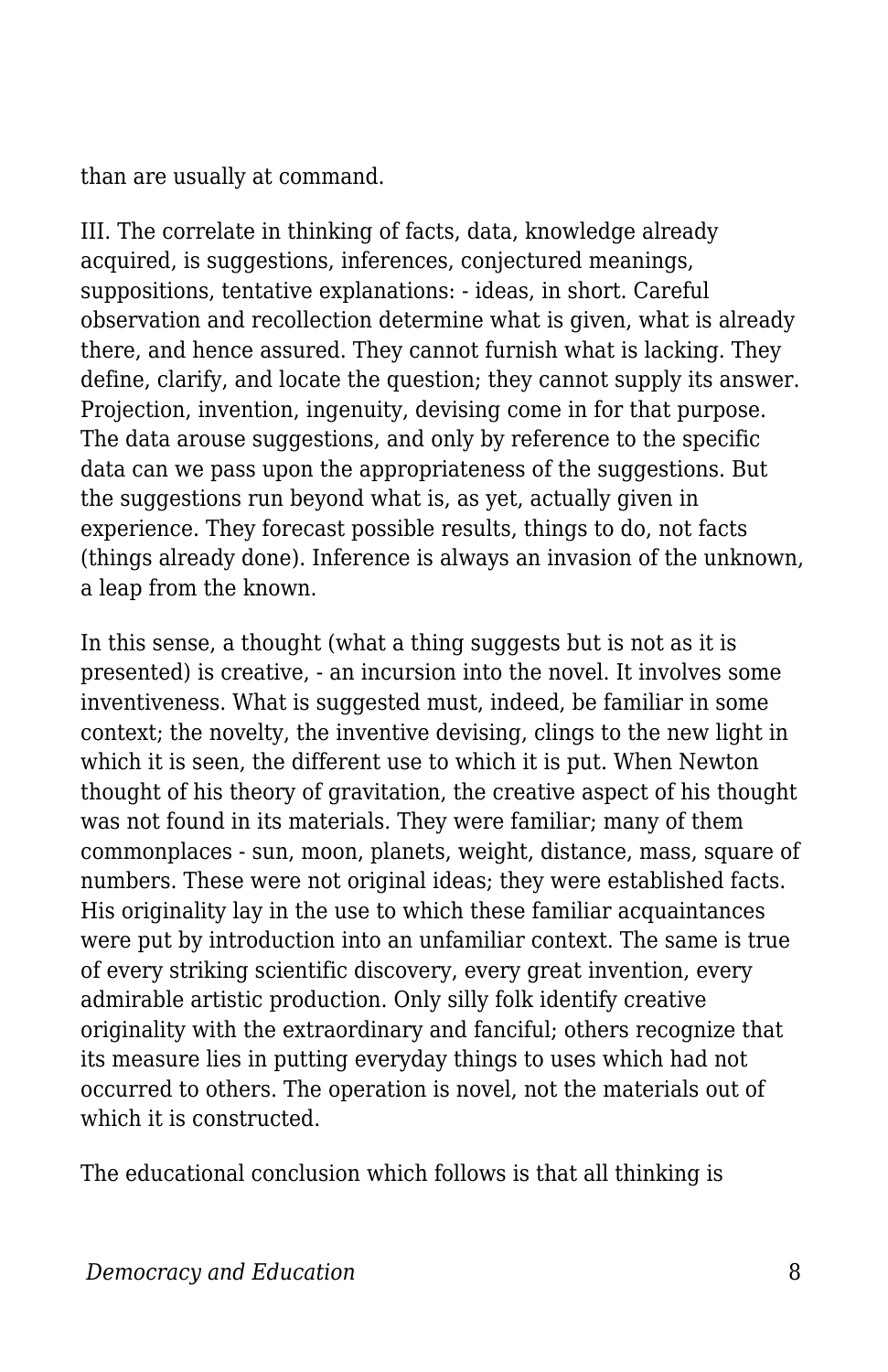than are usually at command.

III. The correlate in thinking of facts, data, knowledge already acquired, is suggestions, inferences, conjectured meanings, suppositions, tentative explanations: - ideas, in short. Careful observation and recollection determine what is given, what is already there, and hence assured. They cannot furnish what is lacking. They define, clarify, and locate the question; they cannot supply its answer. Projection, invention, ingenuity, devising come in for that purpose. The data arouse suggestions, and only by reference to the specific data can we pass upon the appropriateness of the suggestions. But the suggestions run beyond what is, as yet, actually given in experience. They forecast possible results, things to do, not facts (things already done). Inference is always an invasion of the unknown, a leap from the known.

In this sense, a thought (what a thing suggests but is not as it is presented) is creative, - an incursion into the novel. It involves some inventiveness. What is suggested must, indeed, be familiar in some context; the novelty, the inventive devising, clings to the new light in which it is seen, the different use to which it is put. When Newton thought of his theory of gravitation, the creative aspect of his thought was not found in its materials. They were familiar; many of them commonplaces - sun, moon, planets, weight, distance, mass, square of numbers. These were not original ideas; they were established facts. His originality lay in the use to which these familiar acquaintances were put by introduction into an unfamiliar context. The same is true of every striking scientific discovery, every great invention, every admirable artistic production. Only silly folk identify creative originality with the extraordinary and fanciful; others recognize that its measure lies in putting everyday things to uses which had not occurred to others. The operation is novel, not the materials out of which it is constructed.

The educational conclusion which follows is that all thinking is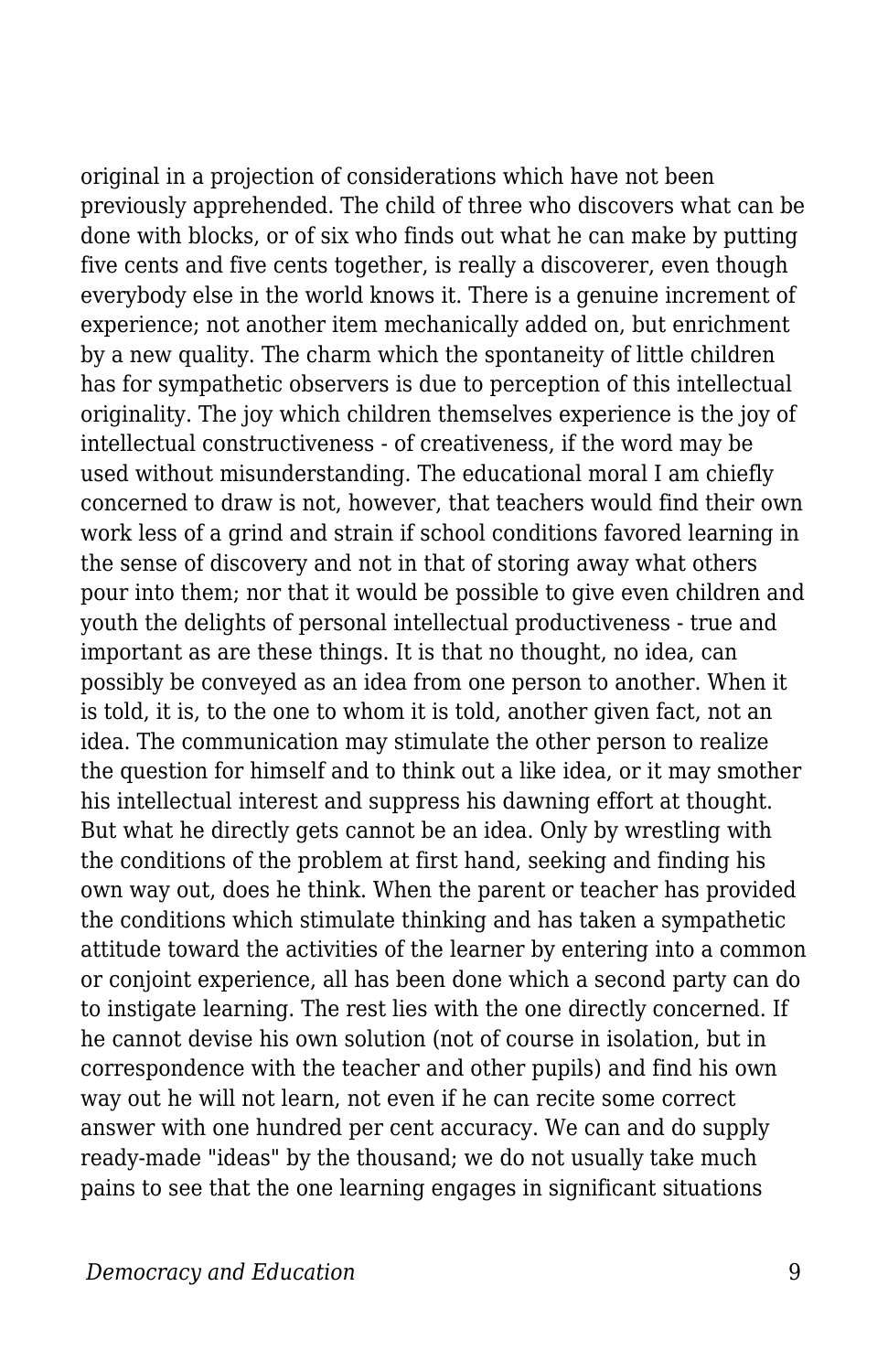original in a projection of considerations which have not been previously apprehended. The child of three who discovers what can be done with blocks, or of six who finds out what he can make by putting five cents and five cents together, is really a discoverer, even though everybody else in the world knows it. There is a genuine increment of experience; not another item mechanically added on, but enrichment by a new quality. The charm which the spontaneity of little children has for sympathetic observers is due to perception of this intellectual originality. The joy which children themselves experience is the joy of intellectual constructiveness - of creativeness, if the word may be used without misunderstanding. The educational moral I am chiefly concerned to draw is not, however, that teachers would find their own work less of a grind and strain if school conditions favored learning in the sense of discovery and not in that of storing away what others pour into them; nor that it would be possible to give even children and youth the delights of personal intellectual productiveness - true and important as are these things. It is that no thought, no idea, can possibly be conveyed as an idea from one person to another. When it is told, it is, to the one to whom it is told, another given fact, not an idea. The communication may stimulate the other person to realize the question for himself and to think out a like idea, or it may smother his intellectual interest and suppress his dawning effort at thought. But what he directly gets cannot be an idea. Only by wrestling with the conditions of the problem at first hand, seeking and finding his own way out, does he think. When the parent or teacher has provided the conditions which stimulate thinking and has taken a sympathetic attitude toward the activities of the learner by entering into a common or conjoint experience, all has been done which a second party can do to instigate learning. The rest lies with the one directly concerned. If he cannot devise his own solution (not of course in isolation, but in correspondence with the teacher and other pupils) and find his own way out he will not learn, not even if he can recite some correct answer with one hundred per cent accuracy. We can and do supply ready-made "ideas" by the thousand; we do not usually take much pains to see that the one learning engages in significant situations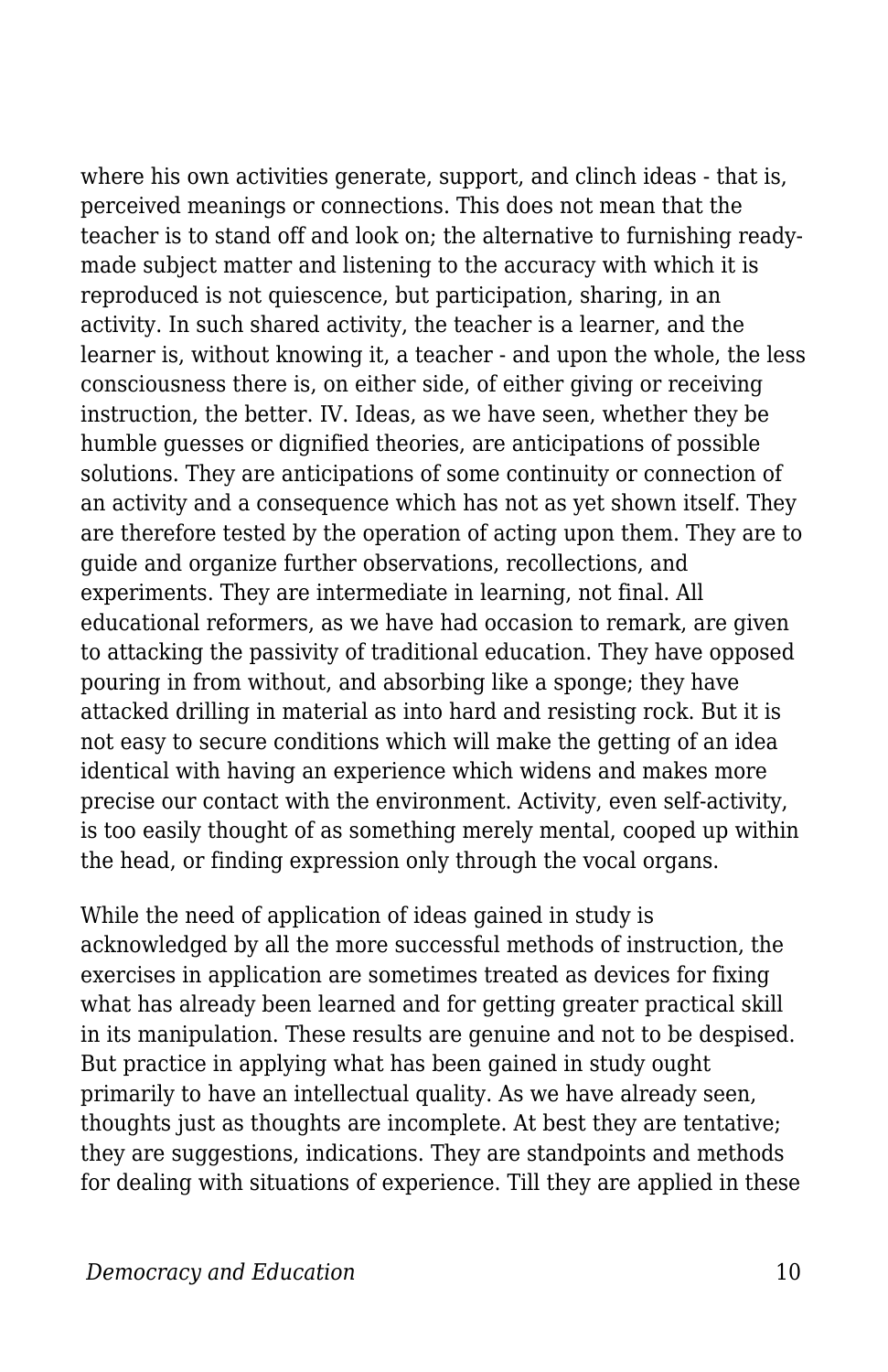where his own activities generate, support, and clinch ideas - that is, perceived meanings or connections. This does not mean that the teacher is to stand off and look on; the alternative to furnishing readymade subject matter and listening to the accuracy with which it is reproduced is not quiescence, but participation, sharing, in an activity. In such shared activity, the teacher is a learner, and the learner is, without knowing it, a teacher - and upon the whole, the less consciousness there is, on either side, of either giving or receiving instruction, the better. IV. Ideas, as we have seen, whether they be humble guesses or dignified theories, are anticipations of possible solutions. They are anticipations of some continuity or connection of an activity and a consequence which has not as yet shown itself. They are therefore tested by the operation of acting upon them. They are to guide and organize further observations, recollections, and experiments. They are intermediate in learning, not final. All educational reformers, as we have had occasion to remark, are given to attacking the passivity of traditional education. They have opposed pouring in from without, and absorbing like a sponge; they have attacked drilling in material as into hard and resisting rock. But it is not easy to secure conditions which will make the getting of an idea identical with having an experience which widens and makes more precise our contact with the environment. Activity, even self-activity, is too easily thought of as something merely mental, cooped up within the head, or finding expression only through the vocal organs.

While the need of application of ideas gained in study is acknowledged by all the more successful methods of instruction, the exercises in application are sometimes treated as devices for fixing what has already been learned and for getting greater practical skill in its manipulation. These results are genuine and not to be despised. But practice in applying what has been gained in study ought primarily to have an intellectual quality. As we have already seen, thoughts just as thoughts are incomplete. At best they are tentative; they are suggestions, indications. They are standpoints and methods for dealing with situations of experience. Till they are applied in these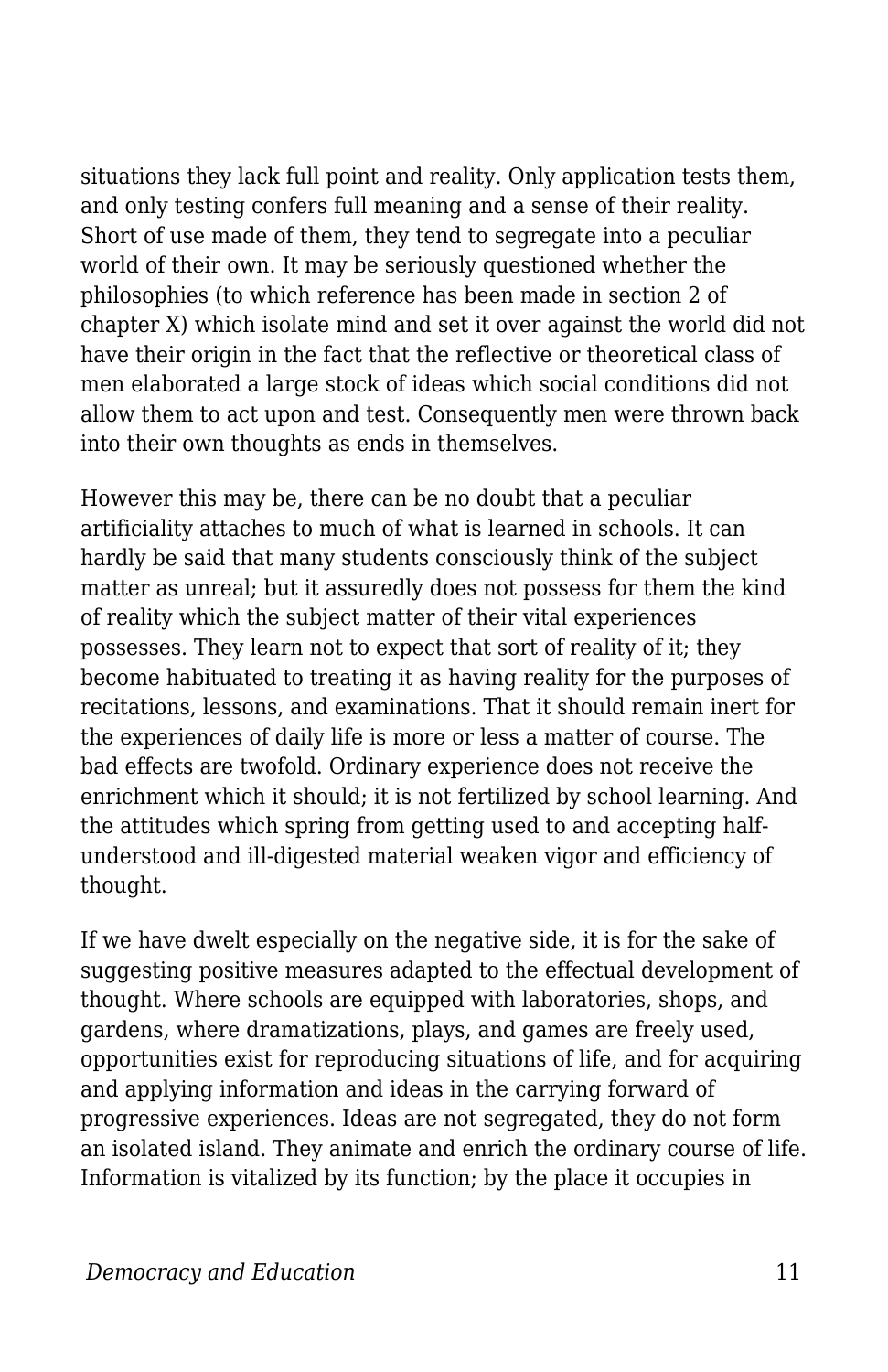situations they lack full point and reality. Only application tests them, and only testing confers full meaning and a sense of their reality. Short of use made of them, they tend to segregate into a peculiar world of their own. It may be seriously questioned whether the philosophies (to which reference has been made in section 2 of chapter X) which isolate mind and set it over against the world did not have their origin in the fact that the reflective or theoretical class of men elaborated a large stock of ideas which social conditions did not allow them to act upon and test. Consequently men were thrown back into their own thoughts as ends in themselves.

However this may be, there can be no doubt that a peculiar artificiality attaches to much of what is learned in schools. It can hardly be said that many students consciously think of the subject matter as unreal; but it assuredly does not possess for them the kind of reality which the subject matter of their vital experiences possesses. They learn not to expect that sort of reality of it; they become habituated to treating it as having reality for the purposes of recitations, lessons, and examinations. That it should remain inert for the experiences of daily life is more or less a matter of course. The bad effects are twofold. Ordinary experience does not receive the enrichment which it should; it is not fertilized by school learning. And the attitudes which spring from getting used to and accepting halfunderstood and ill-digested material weaken vigor and efficiency of thought.

If we have dwelt especially on the negative side, it is for the sake of suggesting positive measures adapted to the effectual development of thought. Where schools are equipped with laboratories, shops, and gardens, where dramatizations, plays, and games are freely used, opportunities exist for reproducing situations of life, and for acquiring and applying information and ideas in the carrying forward of progressive experiences. Ideas are not segregated, they do not form an isolated island. They animate and enrich the ordinary course of life. Information is vitalized by its function; by the place it occupies in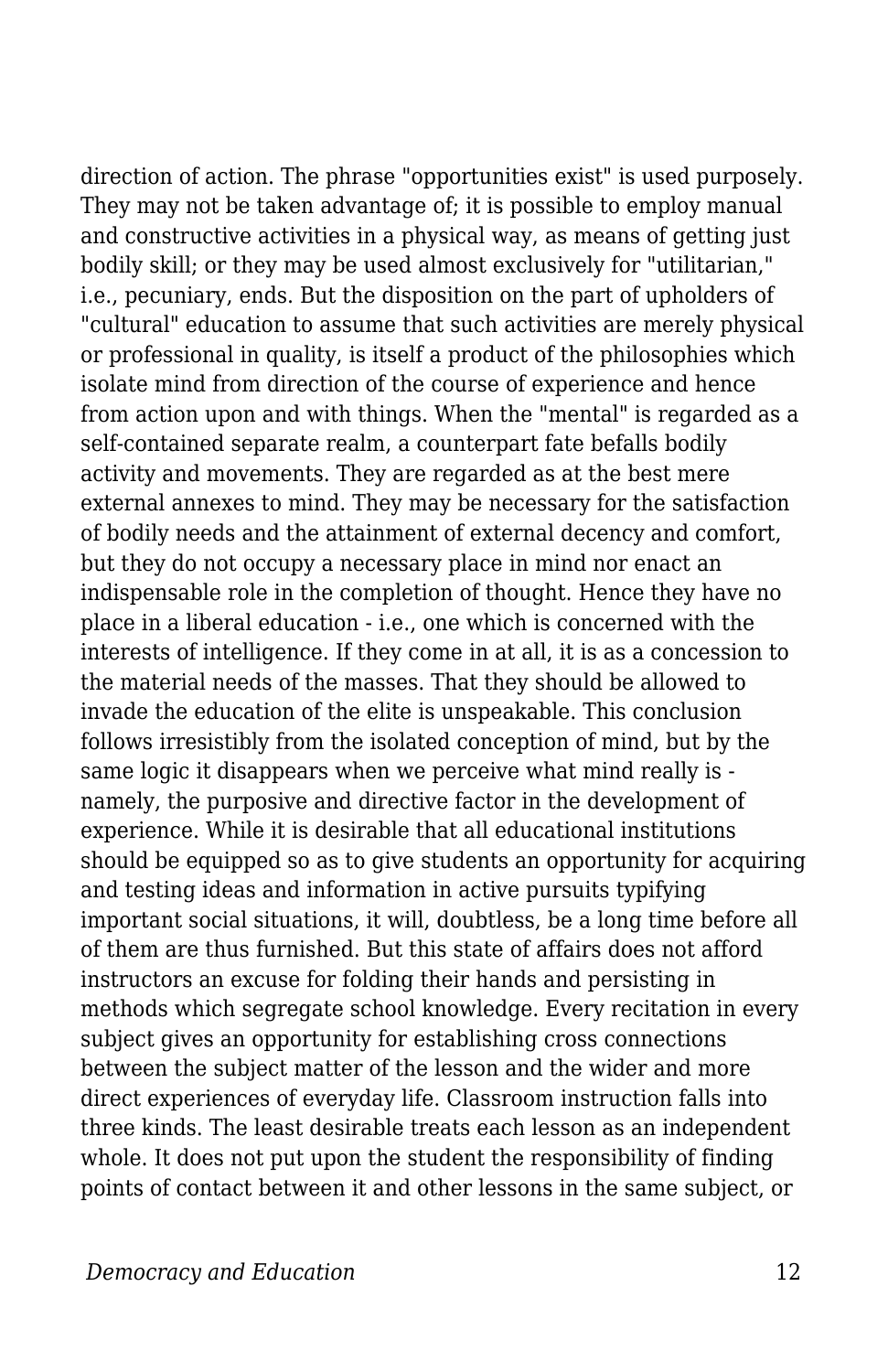direction of action. The phrase "opportunities exist" is used purposely. They may not be taken advantage of; it is possible to employ manual and constructive activities in a physical way, as means of getting just bodily skill; or they may be used almost exclusively for "utilitarian," i.e., pecuniary, ends. But the disposition on the part of upholders of "cultural" education to assume that such activities are merely physical or professional in quality, is itself a product of the philosophies which isolate mind from direction of the course of experience and hence from action upon and with things. When the "mental" is regarded as a self-contained separate realm, a counterpart fate befalls bodily activity and movements. They are regarded as at the best mere external annexes to mind. They may be necessary for the satisfaction of bodily needs and the attainment of external decency and comfort, but they do not occupy a necessary place in mind nor enact an indispensable role in the completion of thought. Hence they have no place in a liberal education - i.e., one which is concerned with the interests of intelligence. If they come in at all, it is as a concession to the material needs of the masses. That they should be allowed to invade the education of the elite is unspeakable. This conclusion follows irresistibly from the isolated conception of mind, but by the same logic it disappears when we perceive what mind really is namely, the purposive and directive factor in the development of experience. While it is desirable that all educational institutions should be equipped so as to give students an opportunity for acquiring and testing ideas and information in active pursuits typifying important social situations, it will, doubtless, be a long time before all of them are thus furnished. But this state of affairs does not afford instructors an excuse for folding their hands and persisting in methods which segregate school knowledge. Every recitation in every subject gives an opportunity for establishing cross connections between the subject matter of the lesson and the wider and more direct experiences of everyday life. Classroom instruction falls into three kinds. The least desirable treats each lesson as an independent whole. It does not put upon the student the responsibility of finding points of contact between it and other lessons in the same subject, or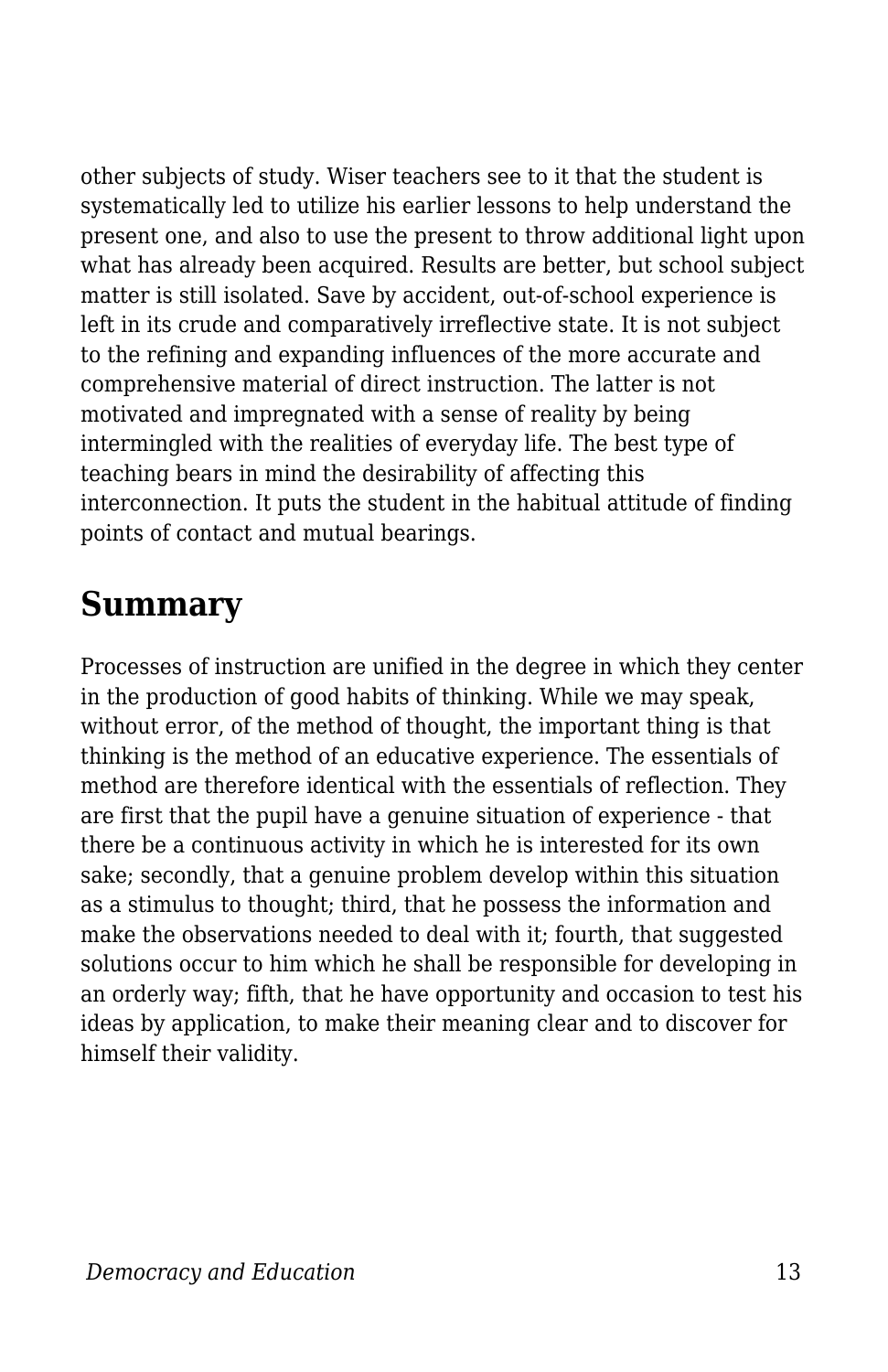other subjects of study. Wiser teachers see to it that the student is systematically led to utilize his earlier lessons to help understand the present one, and also to use the present to throw additional light upon what has already been acquired. Results are better, but school subject matter is still isolated. Save by accident, out-of-school experience is left in its crude and comparatively irreflective state. It is not subject to the refining and expanding influences of the more accurate and comprehensive material of direct instruction. The latter is not motivated and impregnated with a sense of reality by being intermingled with the realities of everyday life. The best type of teaching bears in mind the desirability of affecting this interconnection. It puts the student in the habitual attitude of finding points of contact and mutual bearings.

## **Summary**

Processes of instruction are unified in the degree in which they center in the production of good habits of thinking. While we may speak, without error, of the method of thought, the important thing is that thinking is the method of an educative experience. The essentials of method are therefore identical with the essentials of reflection. They are first that the pupil have a genuine situation of experience - that there be a continuous activity in which he is interested for its own sake; secondly, that a genuine problem develop within this situation as a stimulus to thought; third, that he possess the information and make the observations needed to deal with it; fourth, that suggested solutions occur to him which he shall be responsible for developing in an orderly way; fifth, that he have opportunity and occasion to test his ideas by application, to make their meaning clear and to discover for himself their validity.